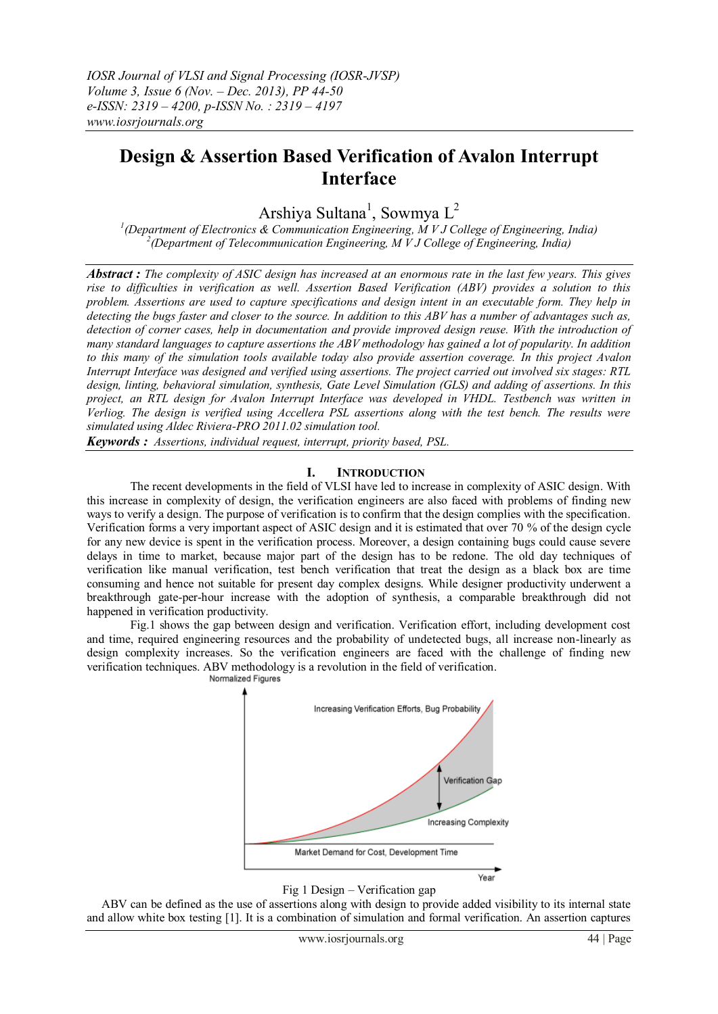# **Design & Assertion Based Verification of Avalon Interrupt Interface**

Arshiya Sultana<sup>1</sup>, Sowmya L<sup>2</sup>

*1 (Department of Electronics & Communication Engineering, M V J College of Engineering, India) 2 (Department of Telecommunication Engineering, M V J College of Engineering, India)*

*Abstract : The complexity of ASIC design has increased at an enormous rate in the last few years. This gives rise to difficulties in verification as well. Assertion Based Verification (ABV) provides a solution to this problem. Assertions are used to capture specifications and design intent in an executable form. They help in detecting the bugs faster and closer to the source. In addition to this ABV has a number of advantages such as,*  detection of corner cases, help in documentation and provide improved design reuse. With the introduction of *many standard languages to capture assertions the ABV methodology has gained a lot of popularity. In addition to this many of the simulation tools available today also provide assertion coverage. In this project Avalon Interrupt Interface was designed and verified using assertions. The project carried out involved six stages: RTL design, linting, behavioral simulation, synthesis, Gate Level Simulation (GLS) and adding of assertions. In this project, an RTL design for Avalon Interrupt Interface was developed in VHDL. Testbench was written in Verliog. The design is verified using Accellera PSL assertions along with the test bench. The results were simulated using Aldec Riviera-PRO 2011.02 simulation tool.*

*Keywords : Assertions, individual request, interrupt, priority based, PSL.*

## **I. INTRODUCTION**

The recent developments in the field of VLSI have led to increase in complexity of ASIC design. With this increase in complexity of design, the verification engineers are also faced with problems of finding new ways to verify a design. The purpose of verification is to confirm that the design complies with the specification. Verification forms a very important aspect of ASIC design and it is estimated that over 70 % of the design cycle for any new device is spent in the verification process. Moreover, a design containing bugs could cause severe delays in time to market, because major part of the design has to be redone. The old day techniques of verification like manual verification, test bench verification that treat the design as a black box are time consuming and hence not suitable for present day complex designs. While designer productivity underwent a breakthrough gate-per-hour increase with the adoption of synthesis, a comparable breakthrough did not happened in verification productivity.

 Fig.1 shows the gap between design and verification. Verification effort, including development cost and time, required engineering resources and the probability of undetected bugs, all increase non-linearly as design complexity increases. So the verification engineers are faced with the challenge of finding new verification techniques. ABV methodology is a revolution in the field of verification.





 ABV can be defined as the use of assertions along with design to provide added visibility to its internal state and allow white box testing [1]. It is a combination of simulation and formal verification. An assertion captures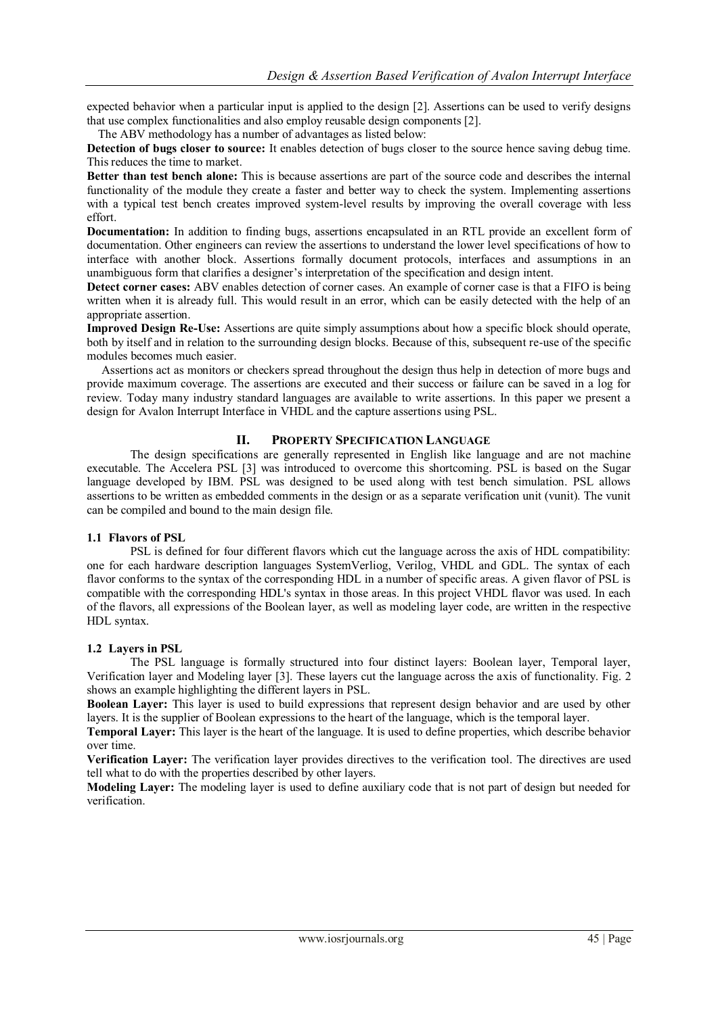expected behavior when a particular input is applied to the design [2]. Assertions can be used to verify designs that use complex functionalities and also employ reusable design components [2].

The ABV methodology has a number of advantages as listed below:

**Detection of bugs closer to source:** It enables detection of bugs closer to the source hence saving debug time. This reduces the time to market.

**Better than test bench alone:** This is because assertions are part of the source code and describes the internal functionality of the module they create a faster and better way to check the system. Implementing assertions with a typical test bench creates improved system-level results by improving the overall coverage with less effort.

**Documentation:** In addition to finding bugs, assertions encapsulated in an RTL provide an excellent form of documentation. Other engineers can review the assertions to understand the lower level specifications of how to interface with another block. Assertions formally document protocols, interfaces and assumptions in an unambiguous form that clarifies a designer"s interpretation of the specification and design intent.

**Detect corner cases:** ABV enables detection of corner cases. An example of corner case is that a FIFO is being written when it is already full. This would result in an error, which can be easily detected with the help of an appropriate assertion.

**Improved Design Re-Use:** Assertions are quite simply assumptions about how a specific block should operate, both by itself and in relation to the surrounding design blocks. Because of this, subsequent re-use of the specific modules becomes much easier.

 Assertions act as monitors or checkers spread throughout the design thus help in detection of more bugs and provide maximum coverage. The assertions are executed and their success or failure can be saved in a log for review. Today many industry standard languages are available to write assertions. In this paper we present a design for Avalon Interrupt Interface in VHDL and the capture assertions using PSL.

# **II. PROPERTY SPECIFICATION LANGUAGE**

The design specifications are generally represented in English like language and are not machine executable. The Accelera PSL [3] was introduced to overcome this shortcoming. PSL is based on the Sugar language developed by IBM. PSL was designed to be used along with test bench simulation. PSL allows assertions to be written as embedded comments in the design or as a separate verification unit (vunit). The vunit can be compiled and bound to the main design file.

## **1.1 Flavors of PSL**

PSL is defined for four different flavors which cut the language across the axis of HDL compatibility: one for each hardware description languages SystemVerliog, Verilog, VHDL and GDL. The syntax of each flavor conforms to the syntax of the corresponding HDL in a number of specific areas. A given flavor of PSL is compatible with the corresponding HDL's syntax in those areas. In this project VHDL flavor was used. In each of the flavors, all expressions of the Boolean layer, as well as modeling layer code, are written in the respective HDL syntax.

## **1.2 Layers in PSL**

The PSL language is formally structured into four distinct layers: Boolean layer, Temporal layer, Verification layer and Modeling layer [3]. These layers cut the language across the axis of functionality. Fig. 2 shows an example highlighting the different layers in PSL.

**Boolean Layer:** This layer is used to build expressions that represent design behavior and are used by other layers. It is the supplier of Boolean expressions to the heart of the language, which is the temporal layer.

**Temporal Layer:** This layer is the heart of the language. It is used to define properties, which describe behavior over time.

**Verification Layer:** The verification layer provides directives to the verification tool. The directives are used tell what to do with the properties described by other layers.

**Modeling Layer:** The modeling layer is used to define auxiliary code that is not part of design but needed for verification.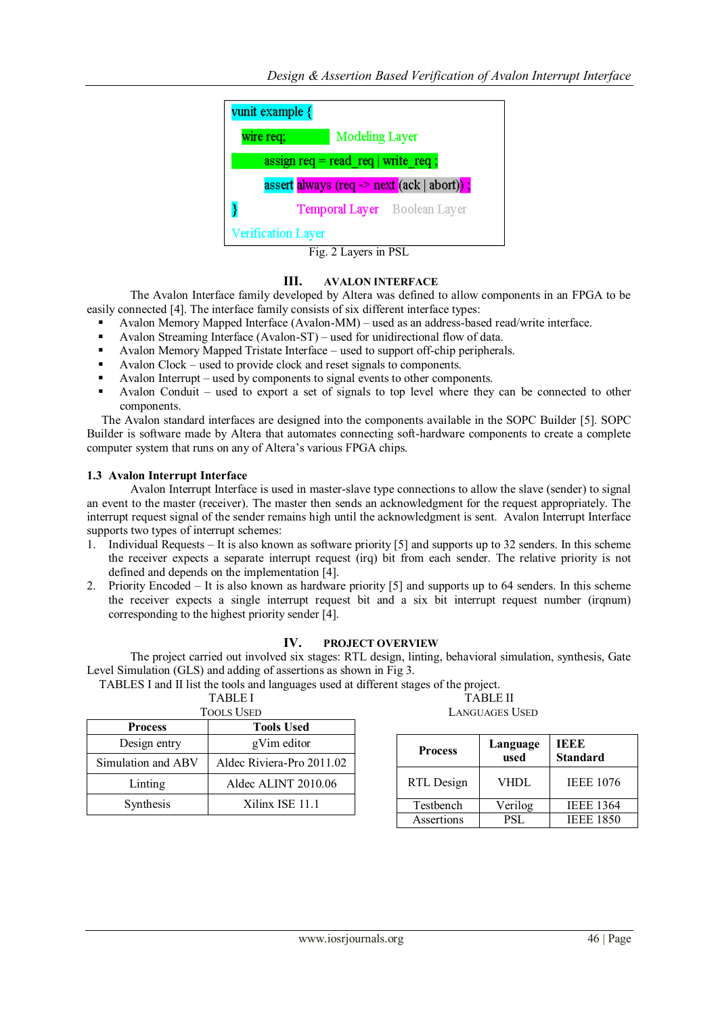

Fig. 2 Layers in PSL

## **III. AVALON INTERFACE**

The Avalon Interface family developed by Altera was defined to allow components in an FPGA to be easily connected [4]. The interface family consists of six different interface types:

- Avalon Memory Mapped Interface (Avalon-MM) used as an address-based read/write interface.
- Avalon Streaming Interface (Avalon-ST) used for unidirectional flow of data.
- Avalon Memory Mapped Tristate Interface used to support off-chip peripherals.
- Avalon Clock used to provide clock and reset signals to components.
- Avalon Interrupt used by components to signal events to other components.
- Avalon Conduit used to export a set of signals to top level where they can be connected to other components.

 The Avalon standard interfaces are designed into the components available in the SOPC Builder [5]. SOPC Builder is software made by Altera that automates connecting soft-hardware components to create a complete computer system that runs on any of Altera"s various FPGA chips.

### **1.3 Avalon Interrupt Interface**

Avalon Interrupt Interface is used in master-slave type connections to allow the slave (sender) to signal an event to the master (receiver). The master then sends an acknowledgment for the request appropriately. The interrupt request signal of the sender remains high until the acknowledgment is sent. Avalon Interrupt Interface supports two types of interrupt schemes:

- 1. Individual Requests It is also known as software priority [5] and supports up to 32 senders. In this scheme the receiver expects a separate interrupt request (irq) bit from each sender. The relative priority is not defined and depends on the implementation [4].
- 2. Priority Encoded It is also known as hardware priority [5] and supports up to 64 senders. In this scheme the receiver expects a single interrupt request bit and a six bit interrupt request number (irqnum) corresponding to the highest priority sender [4].

## **IV. PROJECT OVERVIEW**

The project carried out involved six stages: RTL design, linting, behavioral simulation, synthesis, Gate Level Simulation (GLS) and adding of assertions as shown in Fig 3.

TABLES I and II list the tools and languages used at different stages of the project. TABLE I

|  | 'ools Used |
|--|------------|
|  |            |

| <b>TABLE II</b> |  |
|-----------------|--|
| LANGUAGES USED  |  |

| <b>TOOLS USED</b>  |                           |  |
|--------------------|---------------------------|--|
| <b>Process</b>     | <b>Tools Used</b>         |  |
| Design entry       | gVim editor               |  |
| Simulation and ABV | Aldec Riviera-Pro 2011.02 |  |
| Linting            | Aldec ALINT 2010.06       |  |
| Synthesis          | Xilinx ISE 11.1           |  |

| <b>Process</b> | Language<br>used | IEEE<br><b>Standard</b> |
|----------------|------------------|-------------------------|
| RTL Design     | VHDL             | <b>IEEE 1076</b>        |
| Testbench      | Verilog          | <b>IEEE 1364</b>        |
| Assertions     | PSL.             | <b>IEEE 1850</b>        |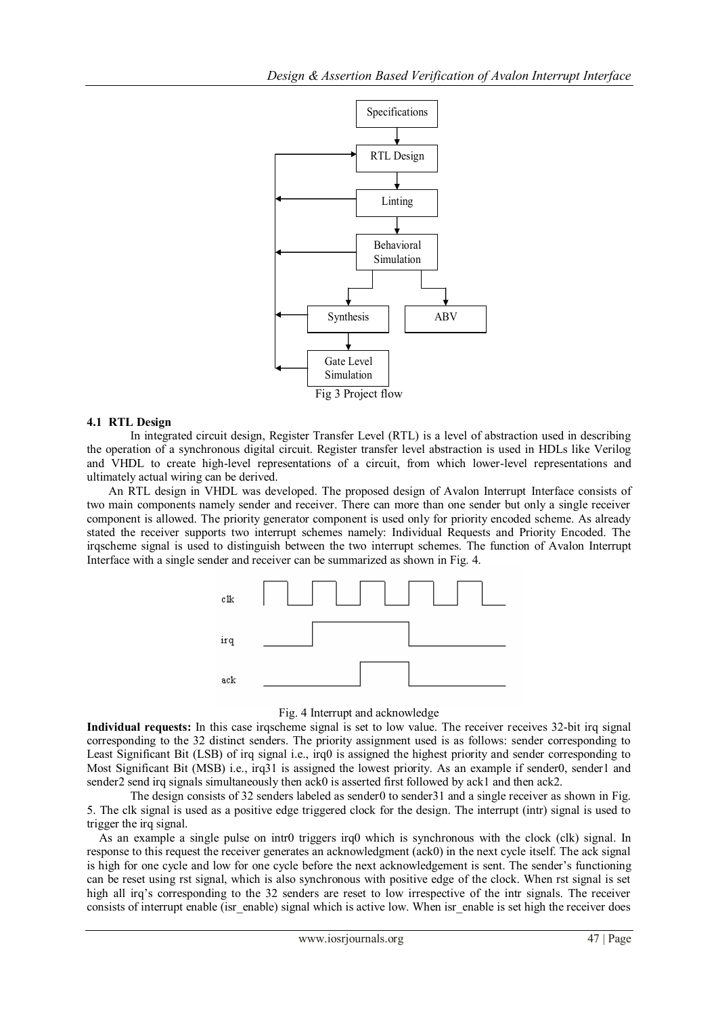

### **4.1 RTL Design**

In [integrated circuit design,](http://en.wikipedia.org/wiki/Integrated_circuit_design) Register Transfer Level (RTL) is a level of abstraction used in describing the operation of a [synchronous](http://en.wikipedia.org/wiki/Synchronous_circuit) [digital circuit.](http://en.wikipedia.org/wiki/Digital_circuit) Register transfer level abstraction is used in HDLs like [Verilog](http://en.wikipedia.org/wiki/Verilog) and [VHDL](http://en.wikipedia.org/wiki/VHDL) to create high-level representations of a circuit, from which lower-level representations and ultimately actual wiring can be derived.

An RTL design in VHDL was developed. The proposed design of Avalon Interrupt Interface consists of two main components namely sender and receiver. There can more than one sender but only a single receiver component is allowed. The priority generator component is used only for priority encoded scheme. As already stated the receiver supports two interrupt schemes namely: Individual Requests and Priority Encoded. The irqscheme signal is used to distinguish between the two interrupt schemes. The function of Avalon Interrupt Interface with a single sender and receiver can be summarized as shown in Fig. 4.



#### Fig. 4 Interrupt and acknowledge

**Individual requests:** In this case irqscheme signal is set to low value. The receiver receives 32-bit irq signal corresponding to the 32 distinct senders. The priority assignment used is as follows: sender corresponding to Least Significant Bit (LSB) of irq signal i.e., irq0 is assigned the highest priority and sender corresponding to Most Significant Bit (MSB) i.e., irq31 is assigned the lowest priority. As an example if sender0, sender1 and sender2 send irq signals simultaneously then ack0 is asserted first followed by ack1 and then ack2.

The design consists of 32 senders labeled as sender0 to sender31 and a single receiver as shown in Fig. 5. The clk signal is used as a positive edge triggered clock for the design. The interrupt (intr) signal is used to trigger the irq signal.

As an example a single pulse on intr0 triggers irq0 which is synchronous with the clock (clk) signal. In response to this request the receiver generates an acknowledgment (ack0) in the next cycle itself. The ack signal is high for one cycle and low for one cycle before the next acknowledgement is sent. The sender's functioning can be reset using rst signal, which is also synchronous with positive edge of the clock. When rst signal is set high all irq's corresponding to the 32 senders are reset to low irrespective of the intr signals. The receiver consists of interrupt enable (isr\_enable) signal which is active low. When isr\_enable is set high the receiver does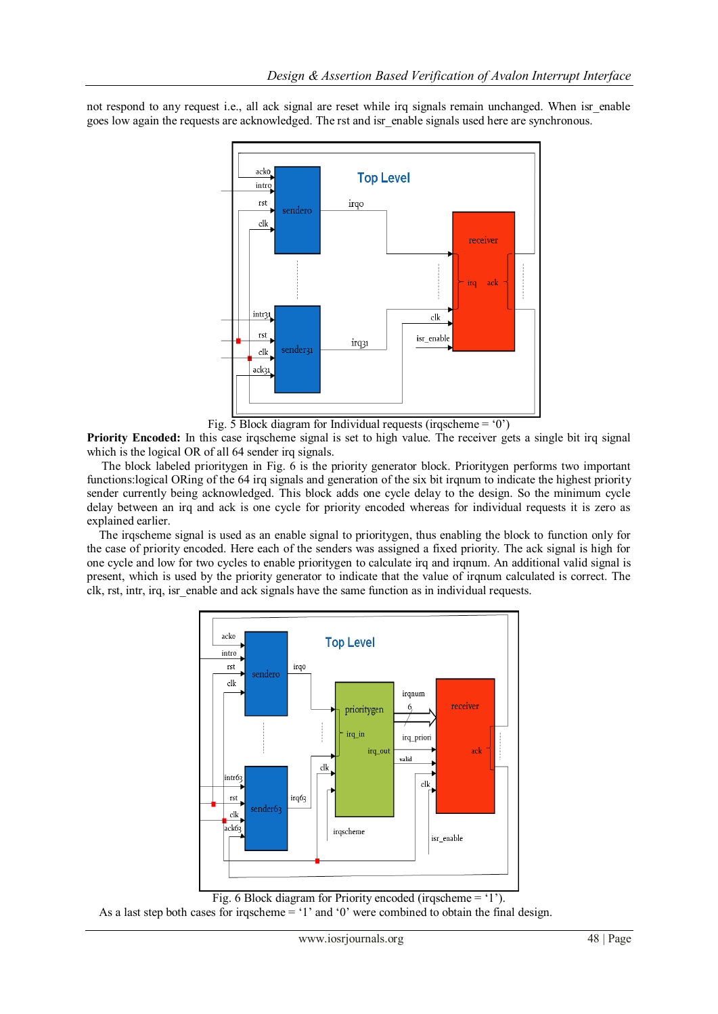not respond to any request i.e., all ack signal are reset while irq signals remain unchanged. When isr enable goes low again the requests are acknowledged. The rst and isr enable signals used here are synchronous.



Fig.  $\overline{5}$  Block diagram for Individual requests (irqscheme = '0')

**Priority Encoded:** In this case irqscheme signal is set to high value. The receiver gets a single bit irq signal which is the logical OR of all 64 sender irq signals.

 The block labeled prioritygen in Fig. 6 is the priority generator block. Prioritygen performs two important functions:logical ORing of the 64 irq signals and generation of the six bit irqnum to indicate the highest priority sender currently being acknowledged. This block adds one cycle delay to the design. So the minimum cycle delay between an irq and ack is one cycle for priority encoded whereas for individual requests it is zero as explained earlier.

The irqscheme signal is used as an enable signal to prioritygen, thus enabling the block to function only for the case of priority encoded. Here each of the senders was assigned a fixed priority. The ack signal is high for one cycle and low for two cycles to enable prioritygen to calculate irq and irqnum. An additional valid signal is present, which is used by the priority generator to indicate that the value of irqnum calculated is correct. The clk, rst, intr, irq, isr\_enable and ack signals have the same function as in individual requests.



Fig. 6 Block diagram for Priority encoded (irqscheme  $=$  '1').

As a last step both cases for irgscheme  $=$  '1' and '0' were combined to obtain the final design.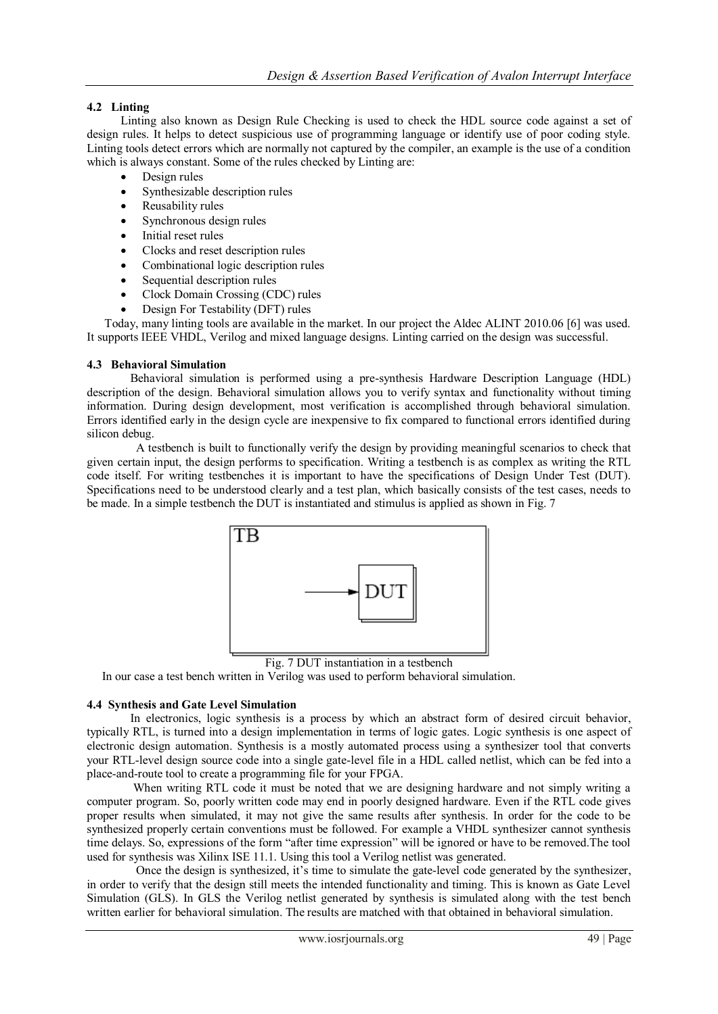# **4.2 Linting**

Linting also known as Design Rule Checking is used to check the HDL source code against a set of design rules. It helps to detect suspicious use of programming language or identify use of poor coding style. Linting tools detect errors which are normally not captured by the compiler, an example is the use of a condition which is always constant. Some of the rules checked by Linting are:

- Design rules
- Synthesizable description rules
- Reusability rules
- Synchronous design rules
- Initial reset rules
- Clocks and reset description rules
- Combinational logic description rules
- Sequential description rules
- Clock Domain Crossing (CDC) rules
- Design For Testability (DFT) rules

 Today, many linting tools are available in the market. In our project the Aldec ALINT 2010.06 [6] was used. It supports IEEE VHDL, Verilog and mixed language designs. Linting carried on the design was successful.

## **4.3 Behavioral Simulation**

Behavioral simulation is performed using a pre-synthesis Hardware Description Language (HDL) description of the design. Behavioral simulation allows you to verify syntax and functionality without timing information. During design development, most verification is accomplished through behavioral simulation. Errors identified early in the design cycle are inexpensive to fix compared to functional errors identified during silicon debug.

 A testbench is built to functionally verify the design by providing meaningful scenarios to check that given certain input, the design performs to specification. Writing a testbench is as complex as writing the RTL code itself. For writing testbenches it is important to have the specifications of Design Under Test (DUT). Specifications need to be understood clearly and a test plan, which basically consists of the test cases, needs to be made. In a simple testbench the DUT is instantiated and stimulus is applied as shown in Fig. 7



Fig. 7 DUT instantiation in a testbench

In our case a test bench written in Verilog was used to perform behavioral simulation.

## **4.4 Synthesis and Gate Level Simulation**

In electronics, logic synthesis is a process by which an abstract form of desired circuit behavior, typically RTL, is turned into a design implementation in terms of [logic gates.](../../../../Users/wiki/Logic_gates) Logic synthesis is one aspect of [electronic design automation.](../../../../Users/wiki/Electronic_design_automation) Synthesis is a mostly automated process using a synthesizer tool that converts your RTL-level design source code into a single gate-level file in a HDL called netlist, which can be fed into a place-and-route tool to create a programming file for your FPGA.

 When writing RTL code it must be noted that we are designing hardware and not simply writing a computer program. So, poorly written code may end in poorly designed hardware. Even if the RTL code gives proper results when simulated, it may not give the same results after synthesis. In order for the code to be synthesized properly certain conventions must be followed. For example a VHDL synthesizer cannot synthesis time delays. So, expressions of the form "after time expression" will be ignored or have to be removed.The tool used for synthesis was Xilinx ISE 11.1. Using this tool a Verilog netlist was generated.

 Once the design is synthesized, it"s time to simulate the gate-level code generated by the synthesizer, in order to verify that the design still meets the intended functionality and timing. This is known as Gate Level Simulation (GLS). In GLS the Verilog netlist generated by synthesis is simulated along with the test bench written earlier for behavioral simulation. The results are matched with that obtained in behavioral simulation.